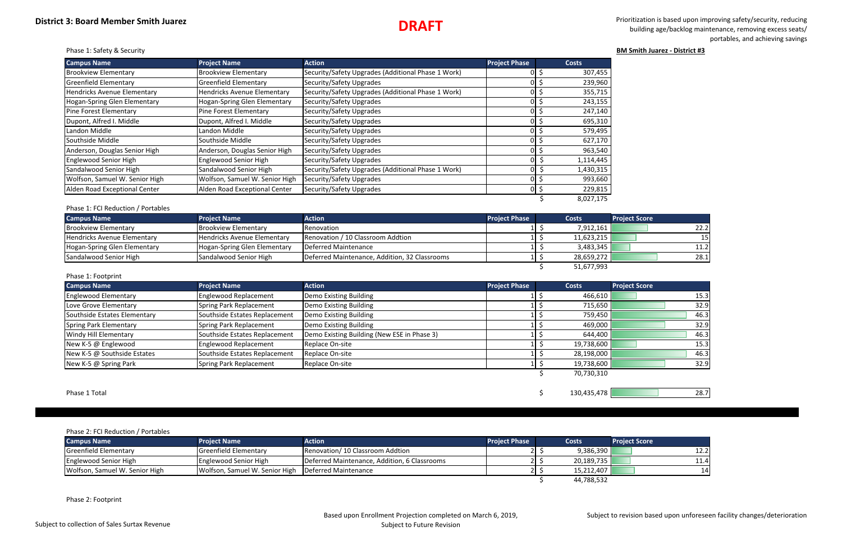# **DRAFT**

 Prioritization is based upon improving safety/security, reducing building age/backlog maintenance, removing excess seats/ portables, and achieving savings

Phase 1: Safety & Security **BM Smith Juarez ‐ District #3**

| <b>Campus Name</b>             | <b>Project Name</b>                | <b>Action</b>                                      | <b>Project Phase</b> | <b>Costs</b> |
|--------------------------------|------------------------------------|----------------------------------------------------|----------------------|--------------|
| <b>Brookview Elementary</b>    | <b>Brookview Elementary</b>        | Security/Safety Upgrades (Additional Phase 1 Work) |                      | 307,455      |
| Greenfield Elementary          | <b>Greenfield Elementary</b>       | Security/Safety Upgrades                           | ΩI                   | 239,960      |
| Hendricks Avenue Elementary    | <b>Hendricks Avenue Elementary</b> | Security/Safety Upgrades (Additional Phase 1 Work) |                      | 355,715      |
| Hogan-Spring Glen Elementary   | Hogan-Spring Glen Elementary       | Security/Safety Upgrades                           |                      | 243,155      |
| Pine Forest Elementary         | Pine Forest Elementary             | Security/Safety Upgrades                           |                      | 247,140      |
| Dupont, Alfred I. Middle       | Dupont, Alfred I. Middle           | Security/Safety Upgrades                           | ΩI                   | 695,310      |
| Landon Middle                  | Landon Middle                      | Security/Safety Upgrades                           | ΩL                   | 579,495      |
| Southside Middle               | Southside Middle                   | Security/Safety Upgrades                           | 01                   | 627,170      |
| Anderson, Douglas Senior High  | Anderson, Douglas Senior High      | Security/Safety Upgrades                           | ΩI                   | 963,540      |
| Englewood Senior High          | Englewood Senior High              | Security/Safety Upgrades                           | າເ                   | 1,114,445    |
| Sandalwood Senior High         | Sandalwood Senior High             | Security/Safety Upgrades (Additional Phase 1 Work) |                      | 1,430,315    |
| Wolfson, Samuel W. Senior High | Wolfson, Samuel W. Senior High     | Security/Safety Upgrades                           |                      | 993,660      |
| Alden Road Exceptional Center  | Alden Road Exceptional Center      | Security/Safety Upgrades                           | 01                   | 229,815      |
|                                |                                    |                                                    |                      | 8,027,175    |

#### Phase 1: FCI Reduction / Portables

| <b>Campus Name</b>           | <b>Project Name</b>                | <b>Action</b>                                 | <b>Project Phase</b> | <b>Costs</b> | <b>Project Score</b> |
|------------------------------|------------------------------------|-----------------------------------------------|----------------------|--------------|----------------------|
| <b>IBrookview Elementary</b> | <b>Brookview Elementary</b>        | <b>Renovation</b>                             |                      | 7,912,161    | 22.2                 |
| Hendricks Avenue Elementary  | <b>Hendricks Avenue Elementary</b> | Renovation / 10 Classroom Addtion             |                      | 11,623,215   | 15I                  |
| Hogan-Spring Glen Elementary | Hogan-Spring Glen Elementary       | Deferred Maintenance                          |                      | 3,483,345    | 11.2                 |
| Sandalwood Senior High       | Sandalwood Senior High             | Deferred Maintenance, Addition, 32 Classrooms |                      | 28,659,272   | 28.1                 |
|                              |                                    |                                               |                      | 51,677,993   |                      |

#### Phase 1: Footprint

| <b>Campus Name</b>           | <b>Project Name</b>           | <b>Action</b>                               | <b>Project Phase</b> | <b>Costs</b> | <b>Project Score</b> |
|------------------------------|-------------------------------|---------------------------------------------|----------------------|--------------|----------------------|
| <b>Englewood Elementary</b>  | <b>Englewood Replacement</b>  | Demo Existing Building                      |                      | 466,610      | 15.3                 |
| Love Grove Elementary        | Spring Park Replacement       | Demo Existing Building                      |                      | 715,650      | 32.9                 |
| Southside Estates Elementary | Southside Estates Replacement | Demo Existing Building                      |                      | 759,450      | 46.3                 |
| Spring Park Elementary       | Spring Park Replacement       | Demo Existing Building                      |                      | 469,000      | 32.9                 |
| Windy Hill Elementary        | Southside Estates Replacement | Demo Existing Building (New ESE in Phase 3) |                      | 644,400      | 46.3                 |
| New K-5 @ Englewood          | Englewood Replacement         | Replace On-site                             |                      | 19,738,600   | 15.3                 |
| New K-5 @ Southside Estates  | Southside Estates Replacement | Replace On-site                             |                      | 28,198,000   | 46.3                 |
| New K-5 @ Spring Park        | Spring Park Replacement       | Replace On-site                             |                      | 19,738,600   | 32.9                 |
|                              |                               |                                             |                      | 70,730,310   |                      |
| Phase 1 Total                |                               |                                             |                      | 130,435,478  | 28.7                 |

#### Phase 2: FCI Reduction / Portables

| <b>Campus Name</b>             | <b>Project Name</b>                                   | Action                                       | <b>Project Phase</b> | <b>Costs</b> | <b>Project Score</b> |
|--------------------------------|-------------------------------------------------------|----------------------------------------------|----------------------|--------------|----------------------|
| Greenfield Elementary          | Greenfield Elementary                                 | Renovation/10 Classroom Addtion              |                      | 9,386,390    | 12.2                 |
| Englewood Senior High          | Englewood Senior High                                 | Deferred Maintenance, Addition, 6 Classrooms |                      | 20,189,735   | 11.4                 |
| Wolfson, Samuel W. Senior High | Wolfson, Samuel W. Senior High   Deferred Maintenance |                                              |                      | 15,212,407   | 14I                  |
|                                |                                                       |                                              |                      | 44,788,532   |                      |

Phase 2: Footprint

Subject to revision based upon unforeseen facility changes/deterioration